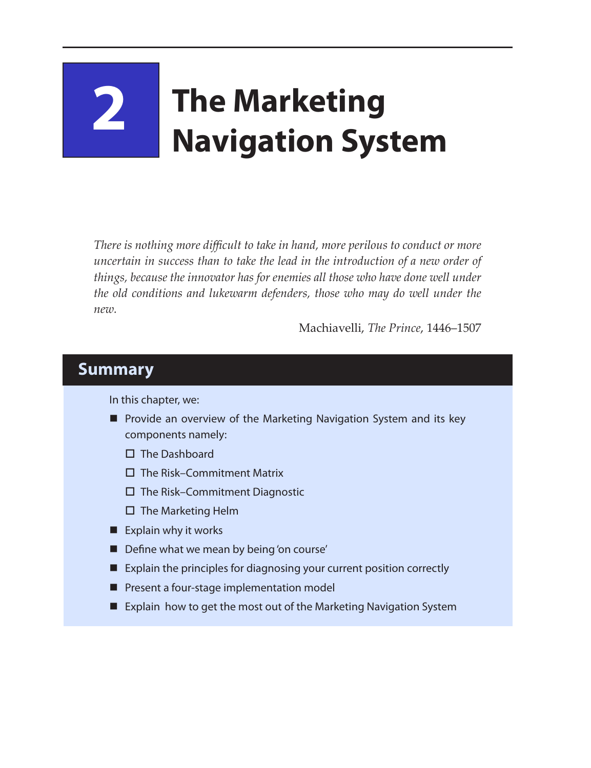# **2 The Marketing Navigation System**

*There is nothing more difficult to take in hand, more perilous to conduct or more uncertain in success than to take the lead in the introduction of a new order of things, because the innovator has for enemies all those who have done well under the old conditions and lukewarm defenders, those who may do well under the new.*

Machiavelli, *The Prince*, 1446–1507

#### **Summary**

In this chapter, we:

- **P** Provide an overview of the Marketing Navigation System and its key components namely:
	- $\Pi$  The Dashboard
	- $\square$  The Risk–Commitment Matrix
	- $\square$  The Risk–Commitment Diagnostic
	- $\square$  The Marketing Helm
- $\blacksquare$  Explain why it works
- Define what we mean by being 'on course'
- Explain the principles for diagnosing your current position correctly
- **Pesent a four-stage implementation model**
- Explain how to get the most out of the Marketing Navigation System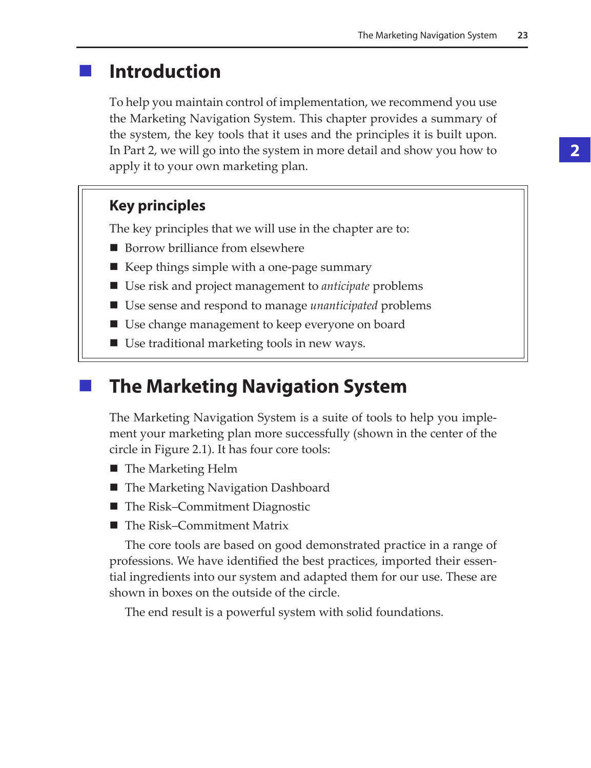## **Introduction**

To help you maintain control of implementation, we recommend you use the Marketing Navigation System. This chapter provides a summary of the system, the key tools that it uses and the principles it is built upon. In Part 2, we will go into the system in more detail and show you how to apply it to your own marketing plan.

#### **Key principles**

The key principles that we will use in the chapter are to:

- Borrow brilliance from elsewhere
- $\blacksquare$  Keep things simple with a one-page summary
- Use risk and project management to *anticipate* problems
- Use sense and respond to manage *unanticipated* problems
- Use change management to keep everyone on board
- Use traditional marketing tools in new ways.

### **The Marketing Navigation System**

The Marketing Navigation System is a suite of tools to help you implement your marketing plan more successfully (shown in the center of the circle in Figure 2.1). It has four core tools:

- The Marketing Helm
- The Marketing Navigation Dashboard
- The Risk–Commitment Diagnostic
- The Risk–Commitment Matrix

The core tools are based on good demonstrated practice in a range of professions. We have identified the best practices, imported their essential ingredients into our system and adapted them for our use. These are shown in boxes on the outside of the circle.

The end result is a powerful system with solid foundations.